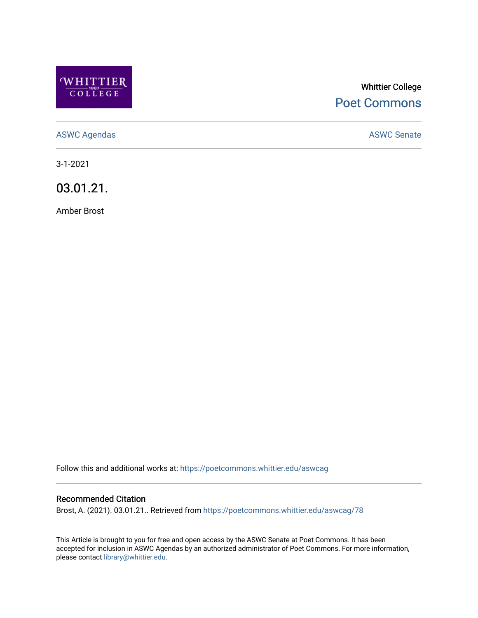

## Whittier College [Poet Commons](https://poetcommons.whittier.edu/)

[ASWC Agendas](https://poetcommons.whittier.edu/aswcag) **ASWC Senate** 

3-1-2021

03.01.21.

Amber Brost

Follow this and additional works at: [https://poetcommons.whittier.edu/aswcag](https://poetcommons.whittier.edu/aswcag?utm_source=poetcommons.whittier.edu%2Faswcag%2F78&utm_medium=PDF&utm_campaign=PDFCoverPages) 

## Recommended Citation

Brost, A. (2021). 03.01.21.. Retrieved from [https://poetcommons.whittier.edu/aswcag/78](https://poetcommons.whittier.edu/aswcag/78?utm_source=poetcommons.whittier.edu%2Faswcag%2F78&utm_medium=PDF&utm_campaign=PDFCoverPages) 

This Article is brought to you for free and open access by the ASWC Senate at Poet Commons. It has been accepted for inclusion in ASWC Agendas by an authorized administrator of Poet Commons. For more information, please contact [library@whittier.edu](mailto:library@whittier.edu).